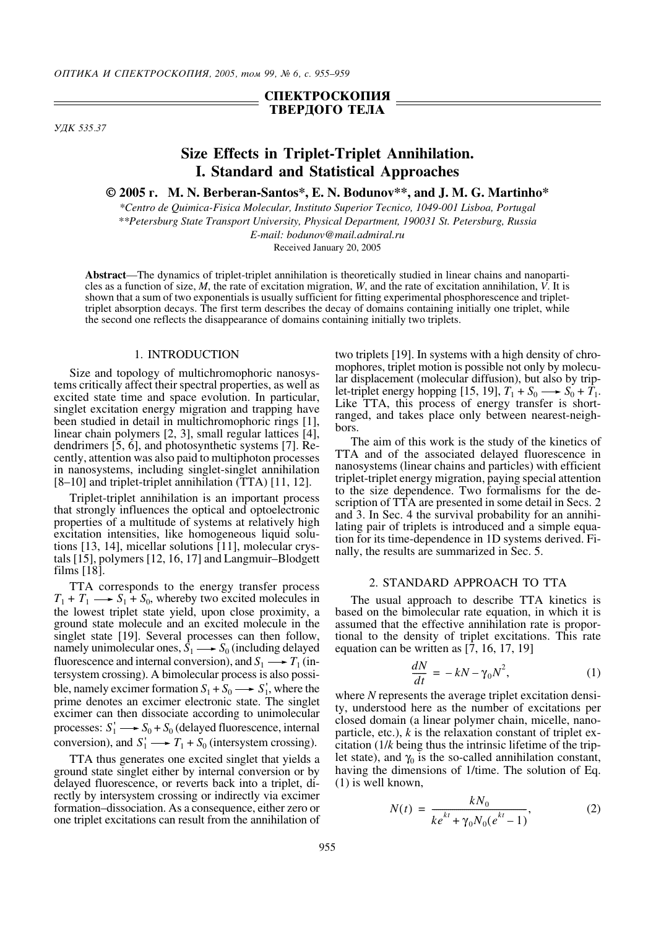## **СПЕКТРОСКОПИЯ ТВЕРДОГО ТЕЛА**

*<i>YIK* 535.37

# **Size Effects in Triplet-Triplet Annihilation. I. Standard and Statistical Approaches**

**© 2005 ". M. N. Berberan-Santos\*, E. N. Bodunov\*\*, and J. M. G. Martinho\***

*\*Centro de Quimica-Fisica Molecular, Instituto Superior Tecnico, 1049-001 Lisboa, Portugal \*\*Petersburg State Transport University, Physical Department, 190031 St. Petersburg, Russia E-mail: bodunov@mail.admiral.ru*

Received January 20, 2005

**Abstract**—The dynamics of triplet-triplet annihilation is theoretically studied in linear chains and nanoparticles as a function of size, *M*, the rate of excitation migration, *W*, and the rate of excitation annihilation, *V*. It is shown that a sum of two exponentials is usually sufficient for fitting experimental phosphorescence and triplettriplet absorption decays. The first term describes the decay of domains containing initially one triplet, while the second one reflects the disappearance of domains containing initially two triplets.

### 1. INTRODUCTION

Size and topology of multichromophoric nanosystems critically affect their spectral properties, as well as excited state time and space evolution. In particular, singlet excitation energy migration and trapping have been studied in detail in multichromophoric rings [1], linear chain polymers [2, 3], small regular lattices [4], dendrimers [5, 6], and photosynthetic systems [7]. Recently, attention was also paid to multiphoton processes in nanosystems, including singlet-singlet annihilation [8–10] and triplet-triplet annihilation (TTA) [11, 12].

Triplet-triplet annihilation is an important process that strongly influences the optical and optoelectronic properties of a multitude of systems at relatively high excitation intensities, like homogeneous liquid solutions [13, 14], micellar solutions [11], molecular crystals [15], polymers [12, 16, 17] and Langmuir–Blodgett films [18].

TTA corresponds to the energy transfer process  $T_1 + T_1 \longrightarrow S_1 + S_0$ , whereby two excited molecules in the lowest triplet state yield, upon close proximity, a ground state molecule and an excited molecule in the singlet state [19]. Several processes can then follow, namely unimolecular ones,  $\hat{S}_1 \longrightarrow S_0$  (including delayed fluorescence and internal conversion), and  $S_1 \longrightarrow T_1$  (intersystem crossing). A bimolecular process is also possible, namely excimer formation  $S_1 + S_0 \longrightarrow S_1'$ , where the prime denotes an excimer electronic state. The singlet excimer can then dissociate according to unimolecular processes:  $S_1' \longrightarrow S_0 + S_0$  (delayed fluorescence, internal conversion), and  $S_1' \longrightarrow T_1 + S_0$  (intersystem crossing).

TTA thus generates one excited singlet that yields a ground state singlet either by internal conversion or by delayed fluorescence, or reverts back into a triplet, directly by intersystem crossing or indirectly via excimer formation–dissociation. As a consequence, either zero or one triplet excitations can result from the annihilation of two triplets [19]. In systems with a high density of chromophores, triplet motion is possible not only by molecular displacement (molecular diffusion), but also by triplet-triplet energy hopping [15, 19],  $T_1 + S_0 \longrightarrow S_0 + T_1$ . Like TTA, this process of energy transfer is shortranged, and takes place only between nearest-neighbors.

The aim of this work is the study of the kinetics of TTA and of the associated delayed fluorescence in nanosystems (linear chains and particles) with efficient triplet-triplet energy migration, paying special attention to the size dependence. Two formalisms for the description of TTA are presented in some detail in Secs. 2 and 3. In Sec. 4 the survival probability for an annihilating pair of triplets is introduced and a simple equation for its time-dependence in 1D systems derived. Finally, the results are summarized in Sec. 5.

#### 2. STANDARD APPROACH TO TTA

The usual approach to describe TTA kinetics is based on the bimolecular rate equation, in which it is assumed that the effective annihilation rate is proportional to the density of triplet excitations. This rate equation can be written as [7, 16, 17, 19]

$$
\frac{dN}{dt} = -kN - \gamma_0 N^2,\tag{1}
$$

where *N* represents the average triplet excitation density, understood here as the number of excitations per closed domain (a linear polymer chain, micelle, nanoparticle, etc.), *k* is the relaxation constant of triplet excitation (1/*k* being thus the intrinsic lifetime of the triplet state), and  $\gamma_0$  is the so-called annihilation constant, having the dimensions of 1/time. The solution of Eq. (1) is well known,

$$
N(t) = \frac{kN_0}{ke^{kt} + \gamma_0 N_0 (e^{kt} - 1)},
$$
 (2)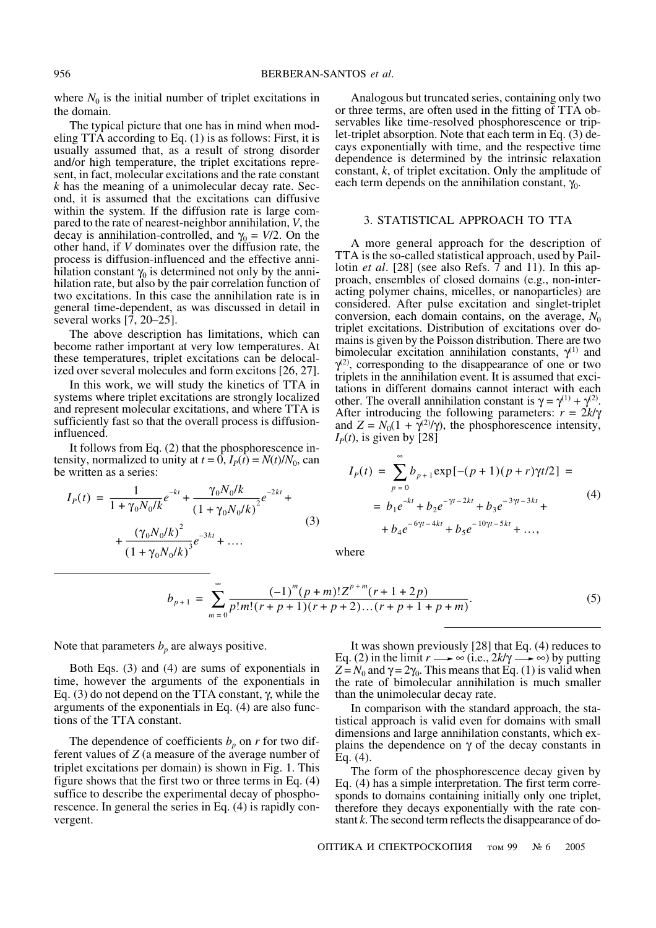where  $N_0$  is the initial number of triplet excitations in the domain.

The typical picture that one has in mind when modeling TTA according to Eq.  $(1)$  is as follows: First, it is usually assumed that, as a result of strong disorder and/or high temperature, the triplet excitations represent, in fact, molecular excitations and the rate constant  $k$  has the meaning of a unimolecular decay rate. Second, it is assumed that the excitations can diffusive within the system. If the diffusion rate is large compared to the rate of nearest-neighbor annihilation, V, the decay is annihilation-controlled, and  $\gamma_0 = V/2$ . On the other hand, if V dominates over the diffusion rate, the process is diffusion-influenced and the effective annihilation constant  $\gamma_0$  is determined not only by the annihilation rate, but also by the pair correlation function of two excitations. In this case the annihilation rate is in general time-dependent, as was discussed in detail in several works  $[7, 20-25]$ .

The above description has limitations, which can become rather important at very low temperatures. At these temperatures, triplet excitations can be delocalized over several molecules and form excitons [26, 27].

In this work, we will study the kinetics of TTA in systems where triplet excitations are strongly localized and represent molecular excitations, and where TTA is sufficiently fast so that the overall process is diffusioninfluenced.

It follows from Eq.  $(2)$  that the phosphorescence intensity, normalized to unity at  $t = 0$ ,  $I_p(t) = N(t)/N_0$ , can be written as a series:

$$
I_P(t) = \frac{1}{1 + \gamma_0 N_0 / k} e^{-kt} + \frac{\gamma_0 N_0 / k}{(1 + \gamma_0 N_0 / k)^2} e^{-2kt} + \frac{(\gamma_0 N_0 / k)^2}{(1 + \gamma_0 N_0 / k)^3} e^{-3kt} + \dots
$$
\n(3)

Analogous but truncated series, containing only two or three terms, are often used in the fitting of TTA observables like time-resolved phosphorescence or triplet-triplet absorption. Note that each term in Eq. (3) decays exponentially with time, and the respective time dependence is determined by the intrinsic relaxation constant,  $k$ , of triplet excitation. Only the amplitude of each term depends on the annihilation constant,  $\gamma_0$ .

#### 3. STATISTICAL APPROACH TO TTA

A more general approach for the description of TTA is the so-called statistical approach, used by Paillotin *et al.*  $[28]$  (see also Refs. 7 and 11). In this approach, ensembles of closed domains (e.g., non-interacting polymer chains, micelles, or nanoparticles) are considered. After pulse excitation and singlet-triplet conversion, each domain contains, on the average,  $N_0$ triplet excitations. Distribution of excitations over domains is given by the Poisson distribution. There are two bimolecular excitation annihilation constants,  $\gamma^{(1)}$  and  $\gamma^{(2)}$ , corresponding to the disappearance of one or two triplets in the annihilation event. It is assumed that excitations in different domains cannot interact with each other. The overall annihilation constant is  $\gamma = \gamma^{(1)} + \gamma^{(2)}$ . After introducing the following parameters:  $r = 2k/\gamma$ and  $Z = N_0(1 + \gamma^{(2)}/\gamma)$ , the phosphorescence intensity,  $I<sub>p</sub>(t)$ , is given by [28]

$$
I_P(t) = \sum_{p=0} b_{p+1} \exp[-(p+1)(p+r)\gamma t/2] =
$$
  
=  $b_1 e^{-kt} + b_2 e^{-\gamma t - 2kt} + b_3 e^{-3\gamma t - 3kt} +$   
+  $b_4 e^{-6\gamma t - 4kt} + b_5 e^{-10\gamma t - 5kt} + ...,$  (4)

where

$$
b_{p+1} = \sum_{m=0}^{\infty} \frac{(-1)^m (p+m)! Z^{p+m} (r+1+2p)}{p! m! (r+p+1)(r+p+2)...(r+p+1+p+m)}.
$$
 (5)

Note that parameters  $b_n$  are always positive.

Both Eqs.  $(3)$  and  $(4)$  are sums of exponentials in time, however the arguments of the exponentials in Eq. (3) do not depend on the TTA constant,  $\gamma$ , while the arguments of the exponentials in Eq. (4) are also functions of the TTA constant.

The dependence of coefficients  $b_p$  on r for two different values of  $Z$  (a measure of the average number of triplet excitations per domain) is shown in Fig. 1. This figure shows that the first two or three terms in Eq.  $(4)$ suffice to describe the experimental decay of phosphorescence. In general the series in Eq. (4) is rapidly convergent.

It was shown previously  $[28]$  that Eq. (4) reduces to Eq. (2) in the limit  $r \rightarrow \infty$  (i.e.,  $2k/\gamma \rightarrow \infty$ ) by putting  $Z = N_0$  and  $\gamma = 2\gamma_0$ . This means that Eq. (1) is valid when the rate of bimolecular annihilation is much smaller than the unimolecular decay rate.

In comparison with the standard approach, the statistical approach is valid even for domains with small dimensions and large annihilation constants, which explains the dependence on  $\gamma$  of the decay constants in Eq.  $(4)$ .

The form of the phosphorescence decay given by Eq. (4) has a simple interpretation. The first term corresponds to domains containing initially only one triplet, therefore they decays exponentially with the rate constant k. The second term reflects the disappearance of do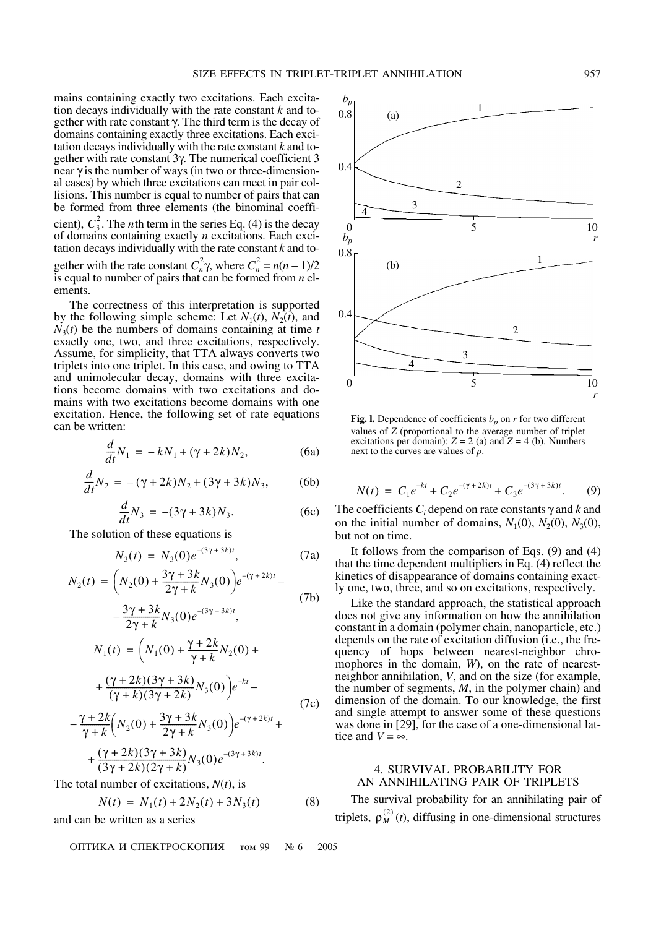mains containing exactly two excitations. Each excitation decays individually with the rate constant k and together with rate constant  $\gamma$ . The third term is the decay of domains containing exactly three excitations. Each excitation decays individually with the rate constant  $k$  and together with rate constant 3γ. The numerical coefficient 3 near  $\gamma$  is the number of ways (in two or three-dimensional cases) by which three excitations can meet in pair collisions. This number is equal to number of pairs that can be formed from three elements (the binominal coefficient),  $C_3^2$ . The *n*th term in the series Eq. (4) is the decay of domains containing exactly  $n$  excitations. Each excitation decays individually with the rate constant  $k$  and together with the rate constant  $C_n^2 \gamma$ , where  $C_n^2 = n(n-1)/2$ is equal to number of pairs that can be formed from  $n$  elements.

The correctness of this interpretation is supported by the following simple scheme: Let  $N_1(t)$ ,  $N_2(t)$ , and  $N_3(t)$  be the numbers of domains containing at time t exactly one, two, and three excitations, respectively. Assume, for simplicity, that TTA always converts two triplets into one triplet. In this case, and owing to TTA and unimolecular decay, domains with three excitations become domains with two excitations and domains with two excitations become domains with one excitation. Hence, the following set of rate equations can be written:

$$
\frac{d}{dt}N_1 = -kN_1 + (\gamma + 2k)N_2,
$$
 (6a)

$$
\frac{d}{dt}N_2 = -(\gamma + 2k)N_2 + (3\gamma + 3k)N_3,\tag{6b}
$$

$$
\frac{d}{dt}N_3 = -(3\gamma + 3k)N_3.
$$
 (6c)

The solution of these equations is

$$
N_3(t) = N_3(0)e^{-(3\gamma + 3k)t}, \tag{7a}
$$

$$
N_2(t) = \left(N_2(0) + \frac{3\gamma + 3k}{2\gamma + k}N_3(0)\right)e^{-(\gamma + 2k)t} -
$$
  
\n
$$
- \frac{3\gamma + 3k}{2\gamma + k}N_3(0)e^{-(3\gamma + 3k)t},
$$
  
\n
$$
N_1(t) = \left(N_1(0) + \frac{\gamma + 2k}{\gamma + k}N_2(0) +
$$
  
\n
$$
+ \frac{(\gamma + 2k)(3\gamma + 3k)}{(\gamma + k)(3\gamma + 2k)}N_3(0)\right)e^{-kt} -
$$
  
\n
$$
- \frac{\gamma + 2k}{\gamma + k}\left(N_2(0) + \frac{3\gamma + 3k}{2\gamma + k}N_3(0)\right)e^{-(\gamma + 2k)t} +
$$
  
\n
$$
+ \frac{(\gamma + 2k)(3\gamma + 3k)}{(3\gamma + 2k)(2\gamma + k)}N_3(0)e^{-(3\gamma + 3k)t}.
$$
  
\n(7c)

The total number of excitations,  $N(t)$ , is

$$
N(t) = N_1(t) + 2N_2(t) + 3N_3(t)
$$
 (8)

and can be written as a series

ОПТИКА И СПЕКТРОСКОПИЯ **том 99**  $N_2$  6 2005



**Fig. 1.** Dependence of coefficients  $b_n$  on r for two different values of Z (proportional to the average number of triplet excitations per domain):  $Z = 2$  (a) and  $Z = 4$  (b). Numbers next to the curves are values of  $p$ .

$$
N(t) = C_1 e^{-kt} + C_2 e^{-(\gamma + 2k)t} + C_3 e^{-(3\gamma + 3k)t}.
$$
 (9)

The coefficients  $C_i$  depend on rate constants  $\gamma$  and k and on the initial number of domains,  $N_1(0)$ ,  $N_2(0)$ ,  $N_3(0)$ , but not on time.

It follows from the comparison of Eqs.  $(9)$  and  $(4)$ that the time dependent multipliers in Eq.  $(4)$  reflect the kinetics of disappearance of domains containing exactly one, two, three, and so on excitations, respectively.

Like the standard approach, the statistical approach does not give any information on how the annihilation constant in a domain (polymer chain, nanoparticle, etc.) depends on the rate of excitation diffusion (*i.e.*, the frequency of hops between nearest-neighbor chromophores in the domain, W), on the rate of nearestneighbor annihilation, V, and on the size (for example, the number of segments,  $M$ , in the polymer chain) and dimension of the domain. To our knowledge, the first and single attempt to answer some of these questions was done in [29], for the case of a one-dimensional lattice and  $V = \infty$ .

#### **4. SURVIVAL PROBABILITY FOR** AN ANNIHILATING PAIR OF TRIPLETS

The survival probability for an annihilating pair of triplets,  $\rho_M^{(2)}(t)$ , diffusing in one-dimensional structures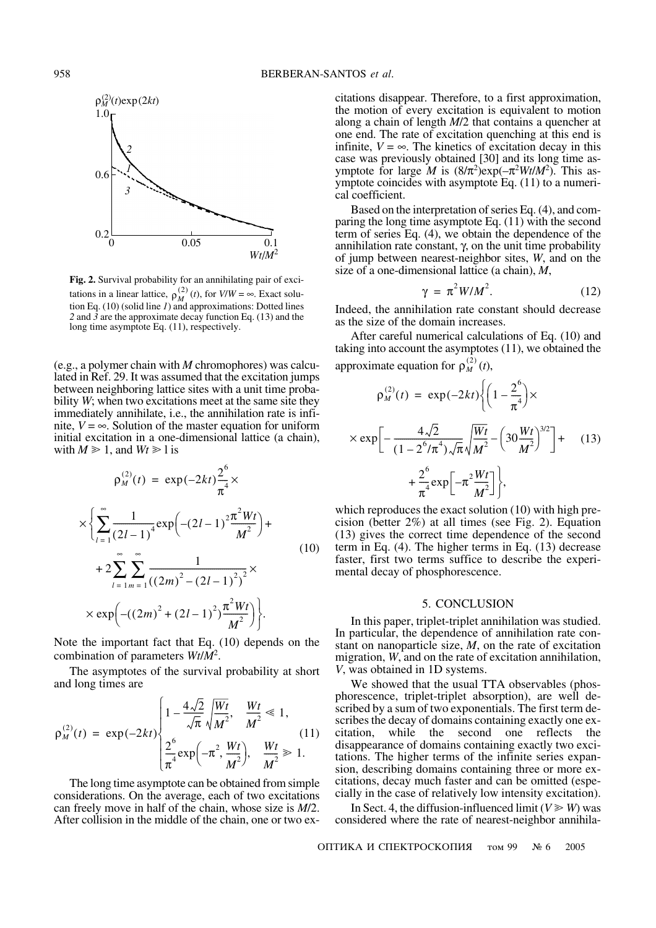

Fig. 2. Survival probability for an annihilating pair of excitations in a linear lattice,  $\rho_M^{(2)}(t)$ , for  $V/W = \infty$ . Exact solution Eq. (10) (solid line *I*) and approximations: Dotted lines 2 and 3 are the approximate decay function Eq. (13) and the long time asymptote Eq. (11), respectively.

(e.g., a polymer chain with  $M$  chromophores) was calculated in Ref. 29. It was assumed that the excitation jumps between neighboring lattice sites with a unit time probability W; when two excitations meet at the same site they immediately annihilate, i.e., the annihilation rate is infinite,  $V = \infty$ . Solution of the master equation for uniform initial excitation in a one-dimensional lattice (a chain), with  $M \ge 1$ , and  $Wt \ge 1$  is

$$
\rho_M^{(2)}(t) = \exp(-2kt)\frac{2^6}{\pi^4} \times
$$
  
\n
$$
\times \left\{ \sum_{l=1}^{\infty} \frac{1}{(2l-1)^4} \exp\left(-(2l-1)^2 \frac{\pi^2 Wt}{M^2}\right) + 2 \sum_{l=1}^{\infty} \sum_{m=1}^{\infty} \frac{1}{((2m)^2 - (2l-1)^2)^2} \times \exp\left(-(2m)^2 + (2l-1)^2 \frac{\pi^2 Wt}{M^2}\right) \right\}.
$$
\n(10)

Note the important fact that Eq.  $(10)$  depends on the combination of parameters  $Wt/M^2$ .

The asymptotes of the survival probability at short and long times are

$$
\rho_M^{(2)}(t) = \exp(-2kt) \begin{cases} 1 - \frac{4\sqrt{2}}{\sqrt{\pi}} \sqrt{\frac{Wt}{M^2}}, & \frac{Wt}{M^2} \le 1, \\ \frac{2^6}{\pi^4} \exp(-\pi^2, \frac{Wt}{M^2}), & \frac{Wt}{M^2} \ge 1. \end{cases}
$$
(11)

The long time asymptote can be obtained from simple considerations. On the average, each of two excitations can freely move in half of the chain, whose size is  $M/2$ . After collision in the middle of the chain, one or two excitations disappear. Therefore, to a first approximation, the motion of every excitation is equivalent to motion along a chain of length  $M/2$  that contains a quencher at one end. The rate of excitation quenching at this end is infinite,  $V = \infty$ . The kinetics of excitation decay in this case was previously obtained [30] and its long time asymptote for large M is  $(8/\pi^2)$ exp $(-\pi^2 W t/M^2)$ . This asymptote coincides with asymptote Eq. (11) to a numerical coefficient.

Based on the interpretation of series Eq. (4), and comparing the long time asymptote Eq.  $(11)$  with the second term of series Eq.  $(4)$ , we obtain the dependence of the annihilation rate constant,  $\gamma$ , on the unit time probability of jump between nearest-neighbor sites,  $W$ , and on the size of a one-dimensional lattice (a chain),  $M$ ,

$$
\gamma = \pi^2 W / M^2. \tag{12}
$$

Indeed, the annihilation rate constant should decrease as the size of the domain increases.

After careful numerical calculations of Eq. (10) and taking into account the asymptotes  $(11)$ , we obtained the approximate equation for  $\rho_M^{(2)}(t)$ ,

$$
\rho_M^{(2)}(t) = \exp(-2kt) \left\{ \left( 1 - \frac{2^6}{\pi^4} \right) \times \times \exp\left[ -\frac{4\sqrt{2}}{(1 - 2^6/\pi^4)\sqrt{\pi}} \sqrt{\frac{Wt}{M^2}} - \left( 30 \frac{Wt}{M^2} \right)^{3/2} \right] + \frac{2^6}{\pi^4} \exp\left[ -\pi^2 \frac{Wt}{M^2} \right] \right\},
$$
\n(13)

which reproduces the exact solution (10) with high precision (better  $2\%$ ) at all times (see Fig. 2). Equation (13) gives the correct time dependence of the second term in Eq.  $(4)$ . The higher terms in Eq.  $(13)$  decrease faster, first two terms suffice to describe the experimental decay of phosphorescence.

#### 5. CONCLUSION

In this paper, triplet-triplet annihilation was studied. In particular, the dependence of annihilation rate constant on nanoparticle size,  $M$ , on the rate of excitation migration, W, and on the rate of excitation annihilation, V, was obtained in 1D systems.

We showed that the usual TTA observables (phosphorescence, triplet-triplet absorption), are well described by a sum of two exponentials. The first term describes the decay of domains containing exactly one exwhile the second one reflects the citation. disappearance of domains containing exactly two excitations. The higher terms of the infinite series expansion, describing domains containing three or more excitations, decay much faster and can be omitted (especially in the case of relatively low intensity excitation).

In Sect. 4, the diffusion-influenced limit ( $V \ge W$ ) was considered where the rate of nearest-neighbor annihila-

ОПТИКА И СПЕКТРОСКОПИЯ том 99  $N_2$  6 2005